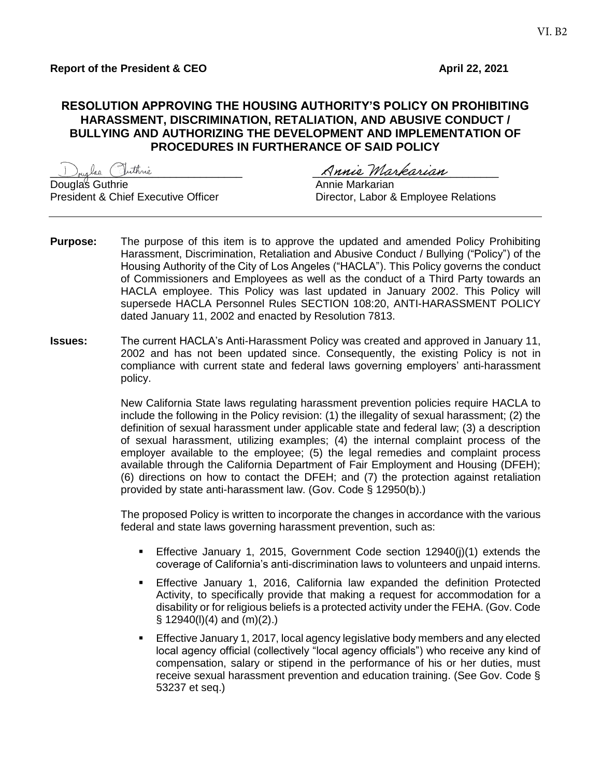#### **RESOLUTION APPROVING THE HOUSING AUTHORITY'S POLICY ON PROHIBITING HARASSMENT, DISCRIMINATION, RETALIATION, AND ABUSIVE CONDUCT / BULLYING AND AUTHORIZING THE DEVELOPMENT AND IMPLEMENTATION OF PROCEDURES IN FURTHERANCE OF SAID POLICY**

Douglas Guthrie **Annie Markarian**<br>President & Chief Executive Officer **Annie Markarian**<br>Director, Labor &

\_\_\_\_\_\_\_\_\_\_\_\_\_\_\_\_\_\_\_\_\_\_\_\_\_\_\_\_\_\_\_\_ \_\_\_\_\_\_\_\_\_\_\_\_\_\_\_\_\_\_\_\_\_\_\_\_\_\_\_\_\_\_\_

Director, Labor & Employee Relations

- **Purpose:** The purpose of this item is to approve the updated and amended Policy Prohibiting Harassment, Discrimination, Retaliation and Abusive Conduct / Bullying ("Policy") of the Housing Authority of the City of Los Angeles ("HACLA"). This Policy governs the conduct of Commissioners and Employees as well as the conduct of a Third Party towards an HACLA employee. This Policy was last updated in January 2002. This Policy will supersede HACLA Personnel Rules SECTION 108:20, ANTI-HARASSMENT POLICY dated January 11, 2002 and enacted by Resolution 7813.
- **Issues:** The current HACLA's Anti-Harassment Policy was created and approved in January 11, 2002 and has not been updated since. Consequently, the existing Policy is not in compliance with current state and federal laws governing employers' anti-harassment policy.

New California State laws regulating harassment prevention policies require HACLA to include the following in the Policy revision: (1) the illegality of sexual harassment; (2) the definition of sexual harassment under applicable state and federal law; (3) a description of sexual harassment, utilizing examples; (4) the internal complaint process of the employer available to the employee; (5) the legal remedies and complaint process available through the California Department of Fair Employment and Housing (DFEH); (6) directions on how to contact the DFEH; and (7) the protection against retaliation provided by state anti-harassment law. (Gov. Code § 12950(b).)

The proposed Policy is written to incorporate the changes in accordance with the various federal and state laws governing harassment prevention, such as:

- Effective January 1, 2015, Government Code section 12940(j)(1) extends the coverage of California's anti-discrimination laws to volunteers and unpaid interns.
- Effective January 1, 2016, California law expanded the definition Protected Activity, to specifically provide that making a request for accommodation for a disability or for religious beliefs is a protected activity under the FEHA. (Gov. Code  $\S$  12940(l)(4) and (m)(2).)
- Effective January 1, 2017, local agency legislative body members and any elected local agency official (collectively "local agency officials") who receive any kind of compensation, salary or stipend in the performance of his or her duties, must receive sexual harassment prevention and education training. (See Gov. Code § 53237 et seq.)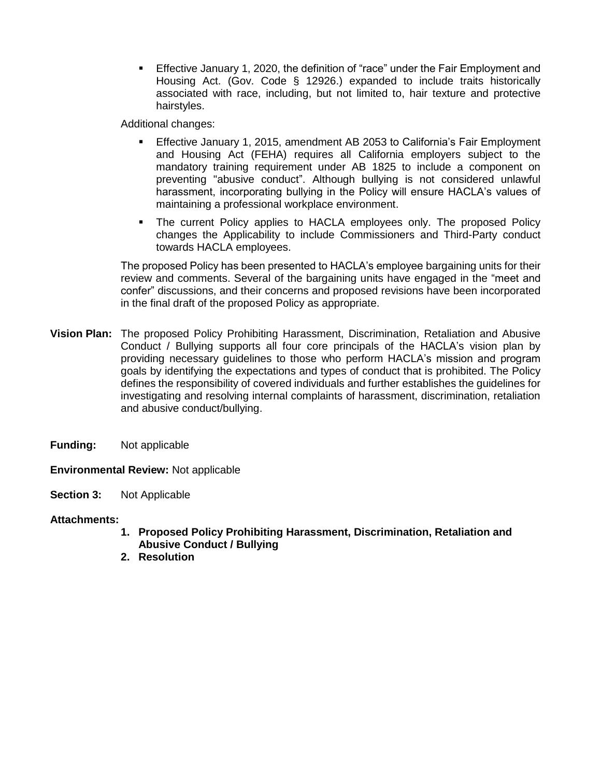Effective January 1, 2020, the definition of "race" under the Fair Employment and Housing Act. (Gov. Code § 12926.) expanded to include traits historically associated with race, including, but not limited to, hair texture and protective hairstyles.

Additional changes:

- Effective January 1, 2015, amendment AB 2053 to California's Fair Employment and Housing Act (FEHA) requires all California employers subject to the mandatory training requirement under AB 1825 to include a component on preventing "abusive conduct". Although bullying is not considered unlawful harassment, incorporating bullying in the Policy will ensure HACLA's values of maintaining a professional workplace environment.
- The current Policy applies to HACLA employees only. The proposed Policy changes the Applicability to include Commissioners and Third-Party conduct towards HACLA employees.

The proposed Policy has been presented to HACLA's employee bargaining units for their review and comments. Several of the bargaining units have engaged in the "meet and confer" discussions, and their concerns and proposed revisions have been incorporated in the final draft of the proposed Policy as appropriate.

- **Vision Plan:** The proposed Policy Prohibiting Harassment, Discrimination, Retaliation and Abusive Conduct / Bullying supports all four core principals of the HACLA's vision plan by providing necessary guidelines to those who perform HACLA's mission and program goals by identifying the expectations and types of conduct that is prohibited. The Policy defines the responsibility of covered individuals and further establishes the guidelines for investigating and resolving internal complaints of harassment, discrimination, retaliation and abusive conduct/bullying.
- **Funding:** Not applicable

**Environmental Review:** Not applicable

**Section 3:** Not Applicable

#### **Attachments:**

- **1. Proposed Policy Prohibiting Harassment, Discrimination, Retaliation and Abusive Conduct / Bullying**
- **2. Resolution**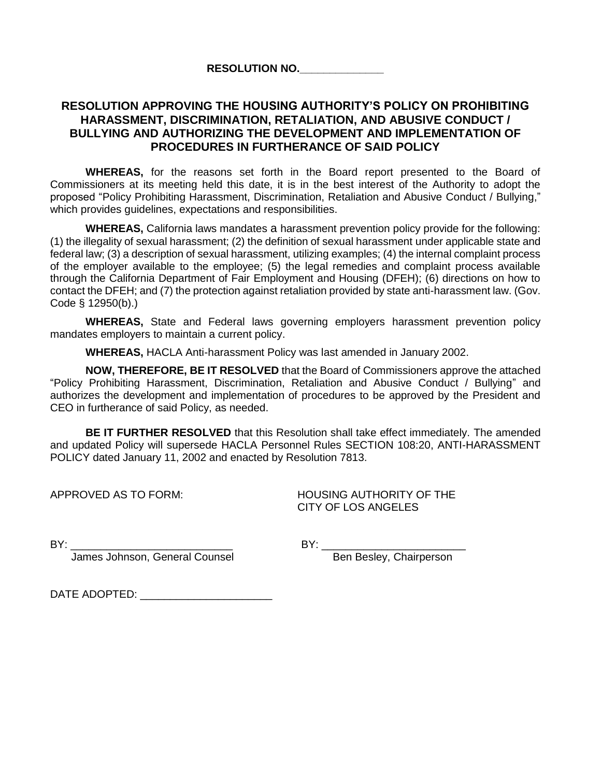#### **RESOLUTION NO.\_\_\_\_\_\_\_\_\_\_\_\_\_\_**

# **RESOLUTION APPROVING THE HOUSING AUTHORITY'S POLICY ON PROHIBITING HARASSMENT, DISCRIMINATION, RETALIATION, AND ABUSIVE CONDUCT / BULLYING AND AUTHORIZING THE DEVELOPMENT AND IMPLEMENTATION OF PROCEDURES IN FURTHERANCE OF SAID POLICY**

**WHEREAS,** for the reasons set forth in the Board report presented to the Board of Commissioners at its meeting held this date, it is in the best interest of the Authority to adopt the proposed "Policy Prohibiting Harassment, Discrimination, Retaliation and Abusive Conduct / Bullying," which provides guidelines, expectations and responsibilities.

**WHEREAS,** California laws mandates a harassment prevention policy provide for the following: (1) the illegality of sexual harassment; (2) the definition of sexual harassment under applicable state and federal law; (3) a description of sexual harassment, utilizing examples; (4) the internal complaint process of the employer available to the employee; (5) the legal remedies and complaint process available through the California Department of Fair Employment and Housing (DFEH); (6) directions on how to contact the DFEH; and (7) the protection against retaliation provided by state anti-harassment law. (Gov. Code § 12950(b).)

**WHEREAS,** State and Federal laws governing employers harassment prevention policy mandates employers to maintain a current policy.

**WHEREAS,** HACLA Anti-harassment Policy was last amended in January 2002.

**NOW, THEREFORE, BE IT RESOLVED** that the Board of Commissioners approve the attached "Policy Prohibiting Harassment, Discrimination, Retaliation and Abusive Conduct / Bullying" and authorizes the development and implementation of procedures to be approved by the President and CEO in furtherance of said Policy, as needed.

**BE IT FURTHER RESOLVED** that this Resolution shall take effect immediately. The amended and updated Policy will supersede HACLA Personnel Rules SECTION 108:20, ANTI-HARASSMENT POLICY dated January 11, 2002 and enacted by Resolution 7813.

APPROVED AS TO FORM: HOUSING AUTHORITY OF THE CITY OF LOS ANGELES

James Johnson, General Counsel **Ben Besley, Chairperson** 

BY: \_\_\_\_\_\_\_\_\_\_\_\_\_\_\_\_\_\_\_\_\_\_\_\_\_\_\_ BY: \_\_\_\_\_\_\_\_\_\_\_\_\_\_\_\_\_\_\_\_\_\_\_\_

DATE ADOPTED: \_\_\_\_\_\_\_\_\_\_\_\_\_\_\_\_\_\_\_\_\_\_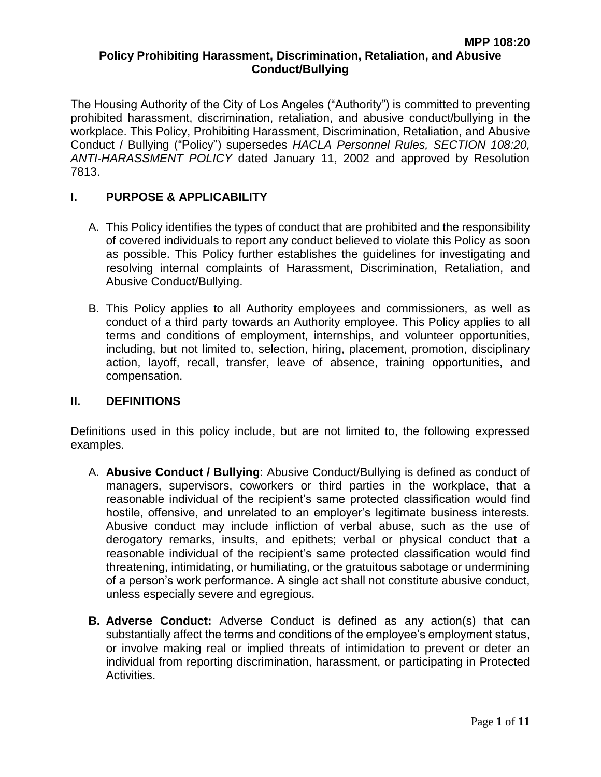The Housing Authority of the City of Los Angeles ("Authority") is committed to preventing prohibited harassment, discrimination, retaliation, and abusive conduct/bullying in the workplace. This Policy, Prohibiting Harassment, Discrimination, Retaliation, and Abusive Conduct / Bullying ("Policy") supersedes *HACLA Personnel Rules, SECTION 108:20, ANTI-HARASSMENT POLICY* dated January 11, 2002 and approved by Resolution 7813.

# **I. PURPOSE & APPLICABILITY**

- A. This Policy identifies the types of conduct that are prohibited and the responsibility of covered individuals to report any conduct believed to violate this Policy as soon as possible. This Policy further establishes the guidelines for investigating and resolving internal complaints of Harassment, Discrimination, Retaliation, and Abusive Conduct/Bullying.
- B. This Policy applies to all Authority employees and commissioners, as well as conduct of a third party towards an Authority employee. This Policy applies to all terms and conditions of employment, internships, and volunteer opportunities, including, but not limited to, selection, hiring, placement, promotion, disciplinary action, layoff, recall, transfer, leave of absence, training opportunities, and compensation.

### **II. DEFINITIONS**

Definitions used in this policy include, but are not limited to, the following expressed examples.

- A. **Abusive Conduct / Bullying**: Abusive Conduct/Bullying is defined as conduct of managers, supervisors, coworkers or third parties in the workplace, that a reasonable individual of the recipient's same protected classification would find hostile, offensive, and unrelated to an employer's legitimate business interests. Abusive conduct may include infliction of verbal abuse, such as the use of derogatory remarks, insults, and epithets; verbal or physical conduct that a reasonable individual of the recipient's same protected classification would find threatening, intimidating, or humiliating, or the gratuitous sabotage or undermining of a person's work performance. A single act shall not constitute abusive conduct, unless especially severe and egregious.
- **B. Adverse Conduct:** Adverse Conduct is defined as any action(s) that can substantially affect the terms and conditions of the employee's employment status, or involve making real or implied threats of intimidation to prevent or deter an individual from reporting discrimination, harassment, or participating in Protected Activities.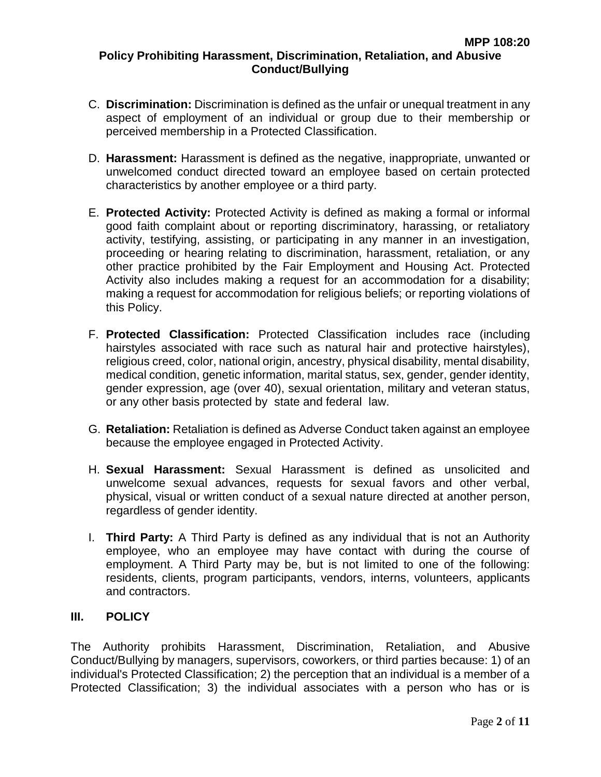- C. **Discrimination:** Discrimination is defined as the unfair or unequal treatment in any aspect of employment of an individual or group due to their membership or perceived membership in a Protected Classification.
- D. **Harassment:** Harassment is defined as the negative, inappropriate, unwanted or unwelcomed conduct directed toward an employee based on certain protected characteristics by another employee or a third party.
- E. **Protected Activity:** Protected Activity is defined as making a formal or informal good faith complaint about or reporting discriminatory, harassing, or retaliatory activity, testifying, assisting, or participating in any manner in an investigation, proceeding or hearing relating to discrimination, harassment, retaliation, or any other practice prohibited by the Fair Employment and Housing Act. Protected Activity also includes making a request for an accommodation for a disability; making a request for accommodation for religious beliefs; or reporting violations of this Policy.
- F. **Protected Classification:** Protected Classification includes race (including hairstyles associated with race such as natural hair and protective hairstyles), religious creed, color, national origin, ancestry, physical disability, mental disability, medical condition, genetic information, marital status, sex, gender, gender identity, gender expression, age (over 40), sexual orientation, military and veteran status, or any other basis protected by state and federal law.
- G. **Retaliation:** Retaliation is defined as Adverse Conduct taken against an employee because the employee engaged in Protected Activity.
- H. **Sexual Harassment:** Sexual Harassment is defined as unsolicited and unwelcome sexual advances, requests for sexual favors and other verbal, physical, visual or written conduct of a sexual nature directed at another person, regardless of gender identity.
- I. **Third Party:** A Third Party is defined as any individual that is not an Authority employee, who an employee may have contact with during the course of employment. A Third Party may be, but is not limited to one of the following: residents, clients, program participants, vendors, interns, volunteers, applicants and contractors.

### **III. POLICY**

The Authority prohibits Harassment, Discrimination, Retaliation, and Abusive Conduct/Bullying by managers, supervisors, coworkers, or third parties because: 1) of an individual's Protected Classification; 2) the perception that an individual is a member of a Protected Classification; 3) the individual associates with a person who has or is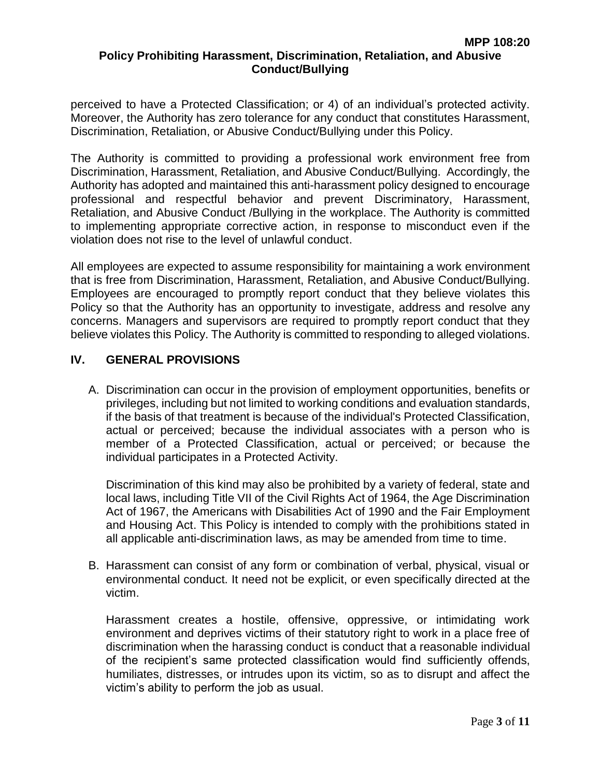perceived to have a Protected Classification; or 4) of an individual's protected activity. Moreover, the Authority has zero tolerance for any conduct that constitutes Harassment, Discrimination, Retaliation, or Abusive Conduct/Bullying under this Policy.

The Authority is committed to providing a professional work environment free from Discrimination, Harassment, Retaliation, and Abusive Conduct/Bullying. Accordingly, the Authority has adopted and maintained this anti-harassment policy designed to encourage professional and respectful behavior and prevent Discriminatory, Harassment, Retaliation, and Abusive Conduct /Bullying in the workplace. The Authority is committed to implementing appropriate corrective action, in response to misconduct even if the violation does not rise to the level of unlawful conduct.

All employees are expected to assume responsibility for maintaining a work environment that is free from Discrimination, Harassment, Retaliation, and Abusive Conduct/Bullying. Employees are encouraged to promptly report conduct that they believe violates this Policy so that the Authority has an opportunity to investigate, address and resolve any concerns. Managers and supervisors are required to promptly report conduct that they believe violates this Policy. The Authority is committed to responding to alleged violations.

### **IV. GENERAL PROVISIONS**

A. Discrimination can occur in the provision of employment opportunities, benefits or privileges, including but not limited to working conditions and evaluation standards, if the basis of that treatment is because of the individual's Protected Classification, actual or perceived; because the individual associates with a person who is member of a Protected Classification, actual or perceived; or because the individual participates in a Protected Activity.

Discrimination of this kind may also be prohibited by a variety of federal, state and local laws, including Title VII of the Civil Rights Act of 1964, the Age Discrimination Act of 1967, the Americans with Disabilities Act of 1990 and the Fair Employment and Housing Act. This Policy is intended to comply with the prohibitions stated in all applicable anti-discrimination laws, as may be amended from time to time.

B. Harassment can consist of any form or combination of verbal, physical, visual or environmental conduct. It need not be explicit, or even specifically directed at the victim.

Harassment creates a hostile, offensive, oppressive, or intimidating work environment and deprives victims of their statutory right to work in a place free of discrimination when the harassing conduct is conduct that a reasonable individual of the recipient's same protected classification would find sufficiently offends, humiliates, distresses, or intrudes upon its victim, so as to disrupt and affect the victim's ability to perform the job as usual.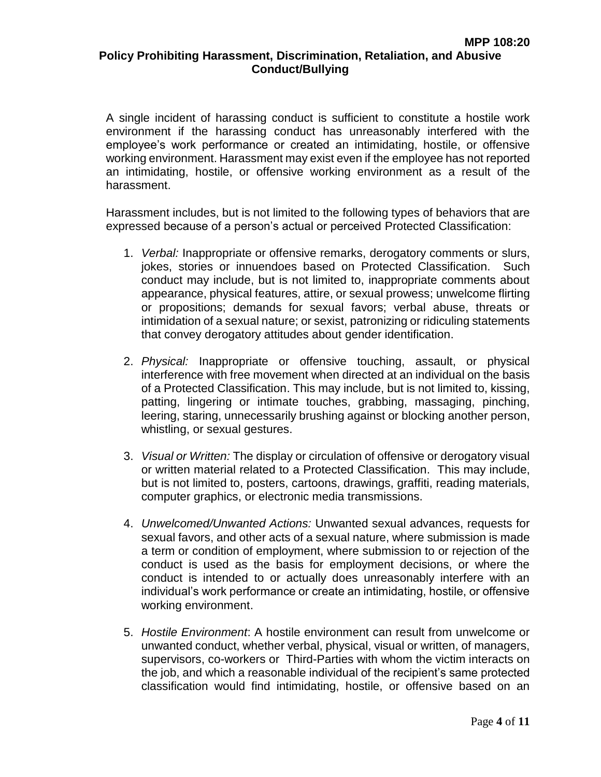A single incident of harassing conduct is sufficient to constitute a hostile work environment if the harassing conduct has unreasonably interfered with the employee's work performance or created an intimidating, hostile, or offensive working environment. Harassment may exist even if the employee has not reported an intimidating, hostile, or offensive working environment as a result of the harassment.

Harassment includes, but is not limited to the following types of behaviors that are expressed because of a person's actual or perceived Protected Classification:

- 1. *Verbal:* Inappropriate or offensive remarks, derogatory comments or slurs, jokes, stories or innuendoes based on Protected Classification. Such conduct may include, but is not limited to, inappropriate comments about appearance, physical features, attire, or sexual prowess; unwelcome flirting or propositions; demands for sexual favors; verbal abuse, threats or intimidation of a sexual nature; or sexist, patronizing or ridiculing statements that convey derogatory attitudes about gender identification.
- 2. *Physical:* Inappropriate or offensive touching, assault, or physical interference with free movement when directed at an individual on the basis of a Protected Classification. This may include, but is not limited to, kissing, patting, lingering or intimate touches, grabbing, massaging, pinching, leering, staring, unnecessarily brushing against or blocking another person, whistling, or sexual gestures.
- 3. *Visual or Written:* The display or circulation of offensive or derogatory visual or written material related to a Protected Classification. This may include, but is not limited to, posters, cartoons, drawings, graffiti, reading materials, computer graphics, or electronic media transmissions.
- 4. *Unwelcomed/Unwanted Actions:* Unwanted sexual advances, requests for sexual favors, and other acts of a sexual nature, where submission is made a term or condition of employment, where submission to or rejection of the conduct is used as the basis for employment decisions, or where the conduct is intended to or actually does unreasonably interfere with an individual's work performance or create an intimidating, hostile, or offensive working environment.
- 5. *Hostile Environment*: A hostile environment can result from unwelcome or unwanted conduct, whether verbal, physical, visual or written, of managers, supervisors, co-workers or Third-Parties with whom the victim interacts on the job, and which a reasonable individual of the recipient's same protected classification would find intimidating, hostile, or offensive based on an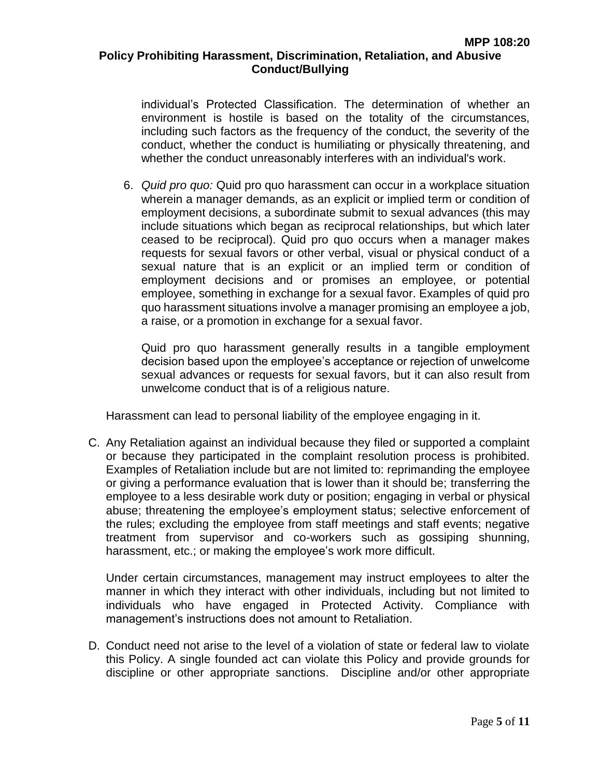individual's Protected Classification. The determination of whether an environment is hostile is based on the totality of the circumstances, including such factors as the frequency of the conduct, the severity of the conduct, whether the conduct is humiliating or physically threatening, and whether the conduct unreasonably interferes with an individual's work.

6. *Quid pro quo:* Quid pro quo harassment can occur in a workplace situation wherein a manager demands, as an explicit or implied term or condition of employment decisions, a subordinate submit to sexual advances (this may include situations which began as reciprocal relationships, but which later ceased to be reciprocal). Quid pro quo occurs when a manager makes requests for sexual favors or other verbal, visual or physical conduct of a sexual nature that is an explicit or an implied term or condition of employment decisions and or promises an employee, or potential employee, something in exchange for a sexual favor. Examples of quid pro quo harassment situations involve a manager promising an employee a job, a raise, or a promotion in exchange for a sexual favor.

Quid pro quo harassment generally results in a tangible employment decision based upon the employee's acceptance or rejection of unwelcome sexual advances or requests for sexual favors, but it can also result from unwelcome conduct that is of a religious nature.

Harassment can lead to personal liability of the employee engaging in it.

C. Any Retaliation against an individual because they filed or supported a complaint or because they participated in the complaint resolution process is prohibited. Examples of Retaliation include but are not limited to: reprimanding the employee or giving a performance evaluation that is lower than it should be; transferring the employee to a less desirable work duty or position; engaging in verbal or physical abuse; threatening the employee's employment status; selective enforcement of the rules; excluding the employee from staff meetings and staff events; negative treatment from supervisor and co-workers such as gossiping shunning, harassment, etc.; or making the employee's work more difficult.

Under certain circumstances, management may instruct employees to alter the manner in which they interact with other individuals, including but not limited to individuals who have engaged in Protected Activity. Compliance with management's instructions does not amount to Retaliation.

D. Conduct need not arise to the level of a violation of state or federal law to violate this Policy. A single founded act can violate this Policy and provide grounds for discipline or other appropriate sanctions. Discipline and/or other appropriate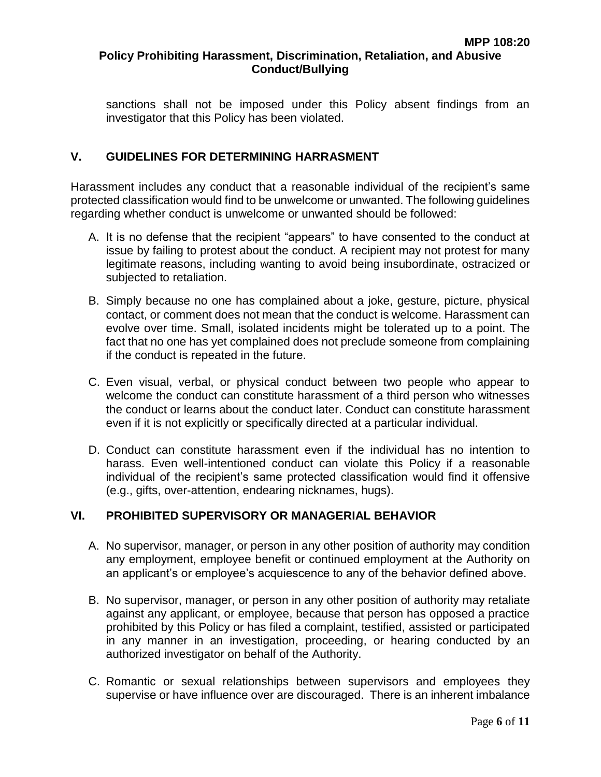sanctions shall not be imposed under this Policy absent findings from an investigator that this Policy has been violated.

# **V. GUIDELINES FOR DETERMINING HARRASMENT**

Harassment includes any conduct that a reasonable individual of the recipient's same protected classification would find to be unwelcome or unwanted. The following guidelines regarding whether conduct is unwelcome or unwanted should be followed:

- A. It is no defense that the recipient "appears" to have consented to the conduct at issue by failing to protest about the conduct. A recipient may not protest for many legitimate reasons, including wanting to avoid being insubordinate, ostracized or subjected to retaliation.
- B. Simply because no one has complained about a joke, gesture, picture, physical contact, or comment does not mean that the conduct is welcome. Harassment can evolve over time. Small, isolated incidents might be tolerated up to a point. The fact that no one has yet complained does not preclude someone from complaining if the conduct is repeated in the future.
- C. Even visual, verbal, or physical conduct between two people who appear to welcome the conduct can constitute harassment of a third person who witnesses the conduct or learns about the conduct later. Conduct can constitute harassment even if it is not explicitly or specifically directed at a particular individual.
- D. Conduct can constitute harassment even if the individual has no intention to harass. Even well-intentioned conduct can violate this Policy if a reasonable individual of the recipient's same protected classification would find it offensive (e.g., gifts, over-attention, endearing nicknames, hugs).

### **VI. PROHIBITED SUPERVISORY OR MANAGERIAL BEHAVIOR**

- A. No supervisor, manager, or person in any other position of authority may condition any employment, employee benefit or continued employment at the Authority on an applicant's or employee's acquiescence to any of the behavior defined above.
- B. No supervisor, manager, or person in any other position of authority may retaliate against any applicant, or employee, because that person has opposed a practice prohibited by this Policy or has filed a complaint, testified, assisted or participated in any manner in an investigation, proceeding, or hearing conducted by an authorized investigator on behalf of the Authority.
- C. Romantic or sexual relationships between supervisors and employees they supervise or have influence over are discouraged. There is an inherent imbalance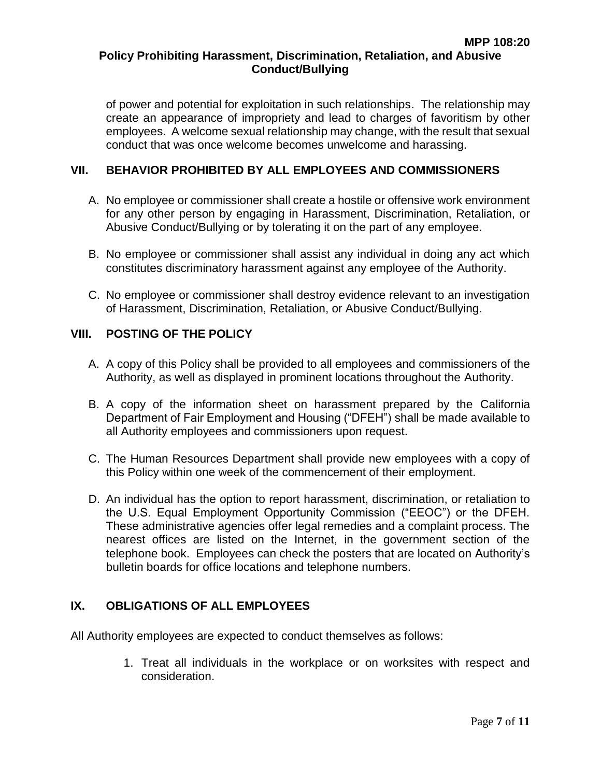of power and potential for exploitation in such relationships. The relationship may create an appearance of impropriety and lead to charges of favoritism by other employees. A welcome sexual relationship may change, with the result that sexual conduct that was once welcome becomes unwelcome and harassing.

# **VII. BEHAVIOR PROHIBITED BY ALL EMPLOYEES AND COMMISSIONERS**

- A. No employee or commissioner shall create a hostile or offensive work environment for any other person by engaging in Harassment, Discrimination, Retaliation, or Abusive Conduct/Bullying or by tolerating it on the part of any employee.
- B. No employee or commissioner shall assist any individual in doing any act which constitutes discriminatory harassment against any employee of the Authority.
- C. No employee or commissioner shall destroy evidence relevant to an investigation of Harassment, Discrimination, Retaliation, or Abusive Conduct/Bullying.

### **VIII. POSTING OF THE POLICY**

- A. A copy of this Policy shall be provided to all employees and commissioners of the Authority, as well as displayed in prominent locations throughout the Authority.
- B. A copy of the information sheet on harassment prepared by the California Department of Fair Employment and Housing ("DFEH") shall be made available to all Authority employees and commissioners upon request.
- C. The Human Resources Department shall provide new employees with a copy of this Policy within one week of the commencement of their employment.
- D. An individual has the option to report harassment, discrimination, or retaliation to the U.S. Equal Employment Opportunity Commission ("EEOC") or the DFEH. These administrative agencies offer legal remedies and a complaint process. The nearest offices are listed on the Internet, in the government section of the telephone book. Employees can check the posters that are located on Authority's bulletin boards for office locations and telephone numbers.

# **IX. OBLIGATIONS OF ALL EMPLOYEES**

All Authority employees are expected to conduct themselves as follows:

1. Treat all individuals in the workplace or on worksites with respect and consideration.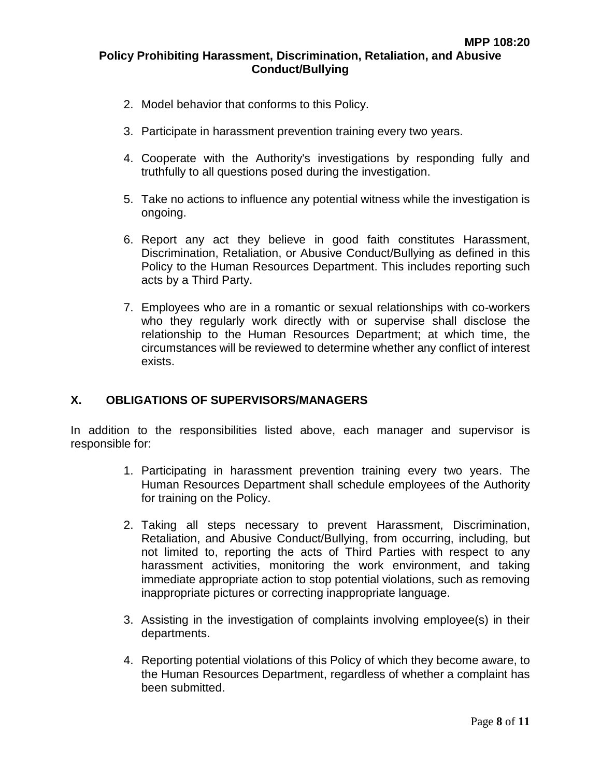- 2. Model behavior that conforms to this Policy.
- 3. Participate in harassment prevention training every two years.
- 4. Cooperate with the Authority's investigations by responding fully and truthfully to all questions posed during the investigation.
- 5. Take no actions to influence any potential witness while the investigation is ongoing.
- 6. Report any act they believe in good faith constitutes Harassment, Discrimination, Retaliation, or Abusive Conduct/Bullying as defined in this Policy to the Human Resources Department. This includes reporting such acts by a Third Party.
- 7. Employees who are in a romantic or sexual relationships with co-workers who they regularly work directly with or supervise shall disclose the relationship to the Human Resources Department; at which time, the circumstances will be reviewed to determine whether any conflict of interest exists.

### **X. OBLIGATIONS OF SUPERVISORS/MANAGERS**

In addition to the responsibilities listed above, each manager and supervisor is responsible for:

- 1. Participating in harassment prevention training every two years. The Human Resources Department shall schedule employees of the Authority for training on the Policy.
- 2. Taking all steps necessary to prevent Harassment, Discrimination, Retaliation, and Abusive Conduct/Bullying, from occurring, including, but not limited to, reporting the acts of Third Parties with respect to any harassment activities, monitoring the work environment, and taking immediate appropriate action to stop potential violations, such as removing inappropriate pictures or correcting inappropriate language.
- 3. Assisting in the investigation of complaints involving employee(s) in their departments.
- 4. Reporting potential violations of this Policy of which they become aware, to the Human Resources Department, regardless of whether a complaint has been submitted.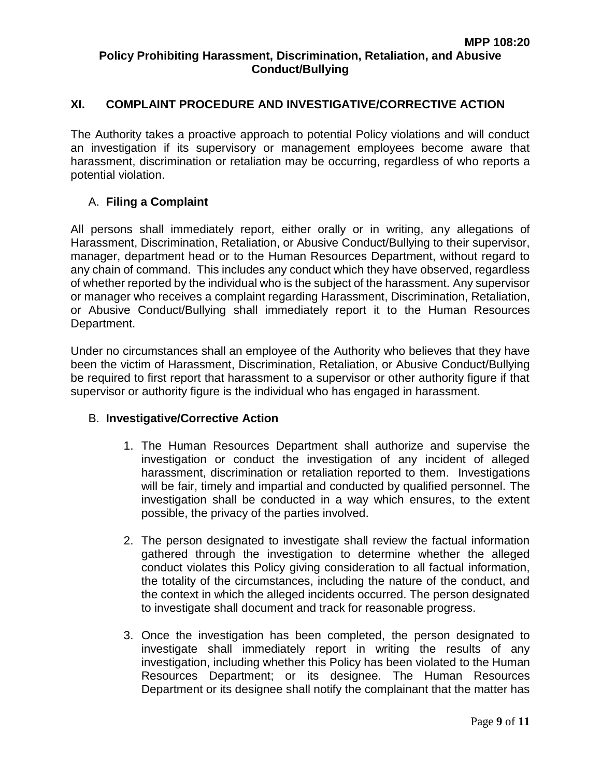# **XI. COMPLAINT PROCEDURE AND INVESTIGATIVE/CORRECTIVE ACTION**

The Authority takes a proactive approach to potential Policy violations and will conduct an investigation if its supervisory or management employees become aware that harassment, discrimination or retaliation may be occurring, regardless of who reports a potential violation.

#### A. **Filing a Complaint**

All persons shall immediately report, either orally or in writing, any allegations of Harassment, Discrimination, Retaliation, or Abusive Conduct/Bullying to their supervisor, manager, department head or to the Human Resources Department, without regard to any chain of command. This includes any conduct which they have observed, regardless of whether reported by the individual who is the subject of the harassment. Any supervisor or manager who receives a complaint regarding Harassment, Discrimination, Retaliation, or Abusive Conduct/Bullying shall immediately report it to the Human Resources Department.

Under no circumstances shall an employee of the Authority who believes that they have been the victim of Harassment, Discrimination, Retaliation, or Abusive Conduct/Bullying be required to first report that harassment to a supervisor or other authority figure if that supervisor or authority figure is the individual who has engaged in harassment.

#### B. **Investigative/Corrective Action**

- 1. The Human Resources Department shall authorize and supervise the investigation or conduct the investigation of any incident of alleged harassment, discrimination or retaliation reported to them. Investigations will be fair, timely and impartial and conducted by qualified personnel. The investigation shall be conducted in a way which ensures, to the extent possible, the privacy of the parties involved.
- 2. The person designated to investigate shall review the factual information gathered through the investigation to determine whether the alleged conduct violates this Policy giving consideration to all factual information, the totality of the circumstances, including the nature of the conduct, and the context in which the alleged incidents occurred. The person designated to investigate shall document and track for reasonable progress.
- 3. Once the investigation has been completed, the person designated to investigate shall immediately report in writing the results of any investigation, including whether this Policy has been violated to the Human Resources Department; or its designee. The Human Resources Department or its designee shall notify the complainant that the matter has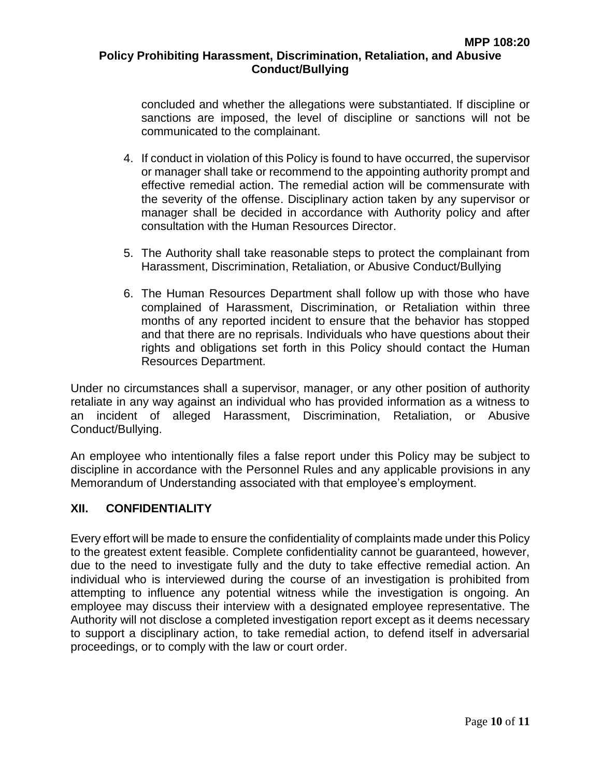concluded and whether the allegations were substantiated. If discipline or sanctions are imposed, the level of discipline or sanctions will not be communicated to the complainant.

- 4. If conduct in violation of this Policy is found to have occurred, the supervisor or manager shall take or recommend to the appointing authority prompt and effective remedial action. The remedial action will be commensurate with the severity of the offense. Disciplinary action taken by any supervisor or manager shall be decided in accordance with Authority policy and after consultation with the Human Resources Director.
- 5. The Authority shall take reasonable steps to protect the complainant from Harassment, Discrimination, Retaliation, or Abusive Conduct/Bullying
- 6. The Human Resources Department shall follow up with those who have complained of Harassment, Discrimination, or Retaliation within three months of any reported incident to ensure that the behavior has stopped and that there are no reprisals. Individuals who have questions about their rights and obligations set forth in this Policy should contact the Human Resources Department.

Under no circumstances shall a supervisor, manager, or any other position of authority retaliate in any way against an individual who has provided information as a witness to an incident of alleged Harassment, Discrimination, Retaliation, or Abusive Conduct/Bullying.

An employee who intentionally files a false report under this Policy may be subject to discipline in accordance with the Personnel Rules and any applicable provisions in any Memorandum of Understanding associated with that employee's employment.

### **XII. CONFIDENTIALITY**

Every effort will be made to ensure the confidentiality of complaints made under this Policy to the greatest extent feasible. Complete confidentiality cannot be guaranteed, however, due to the need to investigate fully and the duty to take effective remedial action. An individual who is interviewed during the course of an investigation is prohibited from attempting to influence any potential witness while the investigation is ongoing. An employee may discuss their interview with a designated employee representative. The Authority will not disclose a completed investigation report except as it deems necessary to support a disciplinary action, to take remedial action, to defend itself in adversarial proceedings, or to comply with the law or court order.